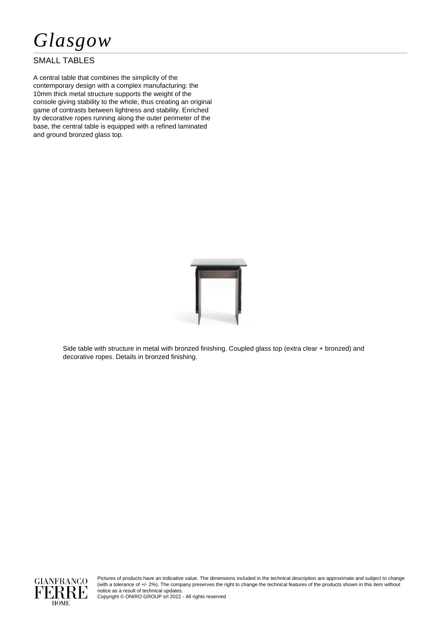

## SMALL TABLES

A central table that combines the simplicity of the contemporary design with a complex manufacturing: the 10mm thick metal structure supports the weight of the console giving stability to the whole, thus creating an original game of contrasts between lightness and stability. Enriched by decorative ropes running along the outer perimeter of the base, the central table is equipped with a refined laminated and ground bronzed glass top.



Side table with structure in metal with bronzed finishing. Coupled glass top (extra clear + bronzed) and decorative ropes. Details in bronzed finishing.



Pictures of products have an indicative value. The dimensions included in the technical description are approximate and subject to change (with a tolerance of +/- 2%). The company preserves the right to change the technical features of the products shown in this item without notice as a result of technical updates.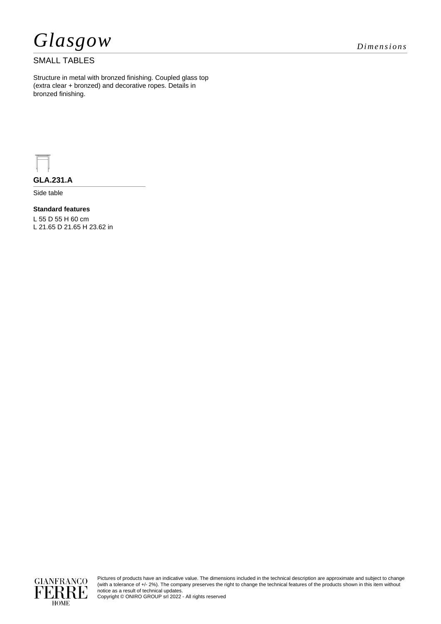

### SMALL TABLES

Structure in metal with bronzed finishing. Coupled glass top (extra clear + bronzed) and decorative ropes. Details in bronzed finishing.



**GLA.231.A**

Side table

#### **Standard features**

L 55 D 55 H 60 cm L 21.65 D 21.65 H 23.62 in



Pictures of products have an indicative value. The dimensions included in the technical description are approximate and subject to change (with a tolerance of +/- 2%). The company preserves the right to change the technical features of the products shown in this item without notice as a result of technical updates.